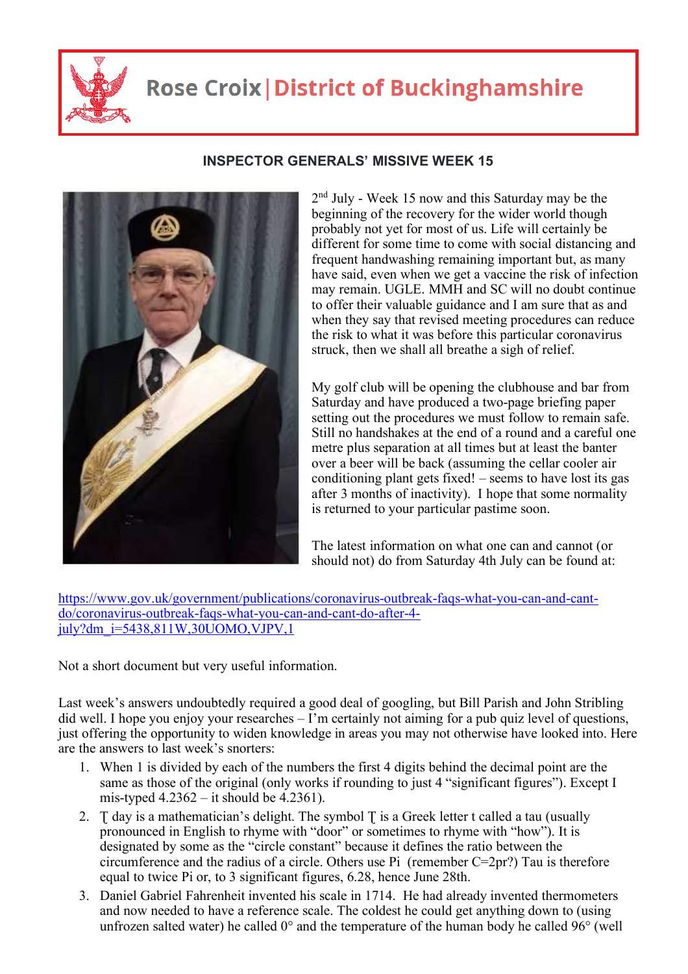

## **Rose Croix | District of Buckinghamshire**



## **INSPECTOR GENERALS' MISSIVE WEEK 15**

2<sup>nd</sup> July - Week 15 now and this Saturday may be the beginning of the recovery for the wider world though probably not yet for most of us. Life will certainly be different for some time to come with social distancing and frequent handwashing remaining important but, as many have said, even when we get a vaccine the risk of infection may remain. UGLE. MMH and SC will no doubt continue to offer their valuable guidance and I am sure that as and when they say that revised meeting procedures can reduce the risk to what it was before this particular coronavirus struck, then we shall all breathe a sigh of relief.

My golf club will be opening the clubhouse and bar from Saturday and have produced a two-page briefing paper setting out the procedures we must follow to remain safe. Still no handshakes at the end of a round and a careful one metre plus separation at all times but at least the banter over a beer will be back (assuming the cellar cooler air conditioning plant gets fixed! – seems to have lost its gas after 3 months of inactivity). I hope that some normality is returned to your particular pastime soon.

The latest information on what one can and cannot (or should not) do from Saturday 4th July can be found at:

https://www.gov.uk/government/publications/coronavirus-outbreak-faqs-what-you-can-and-cantdo/coronavirus-outbreak-faqs-what-you-can-and-cant-do-after-4  $july?dm$   $i=5438,811W,30UOMO, VJPV,1$ 

Not a short document but very useful information.

Last week's answers undoubtedly required a good deal of googling, but Bill Parish and John Stribling did well. I hope you enjoy your researches – I'm certainly not aiming for a pub quiz level of questions, just offering the opportunity to widen knowledge in areas you may not otherwise have looked into. Here are the answers to last week's snorters:

- 1. When 1 is divided by each of the numbers the first 4 digits behind the decimal point are the same as those of the original (only works if rounding to just 4 "significant figures"). Except I mis-typed  $4.2362 - it$  should be  $4.2361$ ).
- 2.  $\top$  day is a mathematician's delight. The symbol  $\top$  is a Greek letter t called a tau (usually pronounced in English to rhyme with "door" or sometimes to rhyme with "how"). It is designated by some as the "circle constant" because it defines the ratio between the circumference and the radius of a circle. Others use Pi (remember C=2pr?) Tau is therefore equal to twice Pi or, to 3 significant figures, 6.28, hence June 28th.
- 3. Daniel Gabriel Fahrenheit invented his scale in 1714. He had already invented thermometers and now needed to have a reference scale. The coldest he could get anything down to (using unfrozen salted water) he called  $0^{\circ}$  and the temperature of the human body he called 96 $^{\circ}$  (well